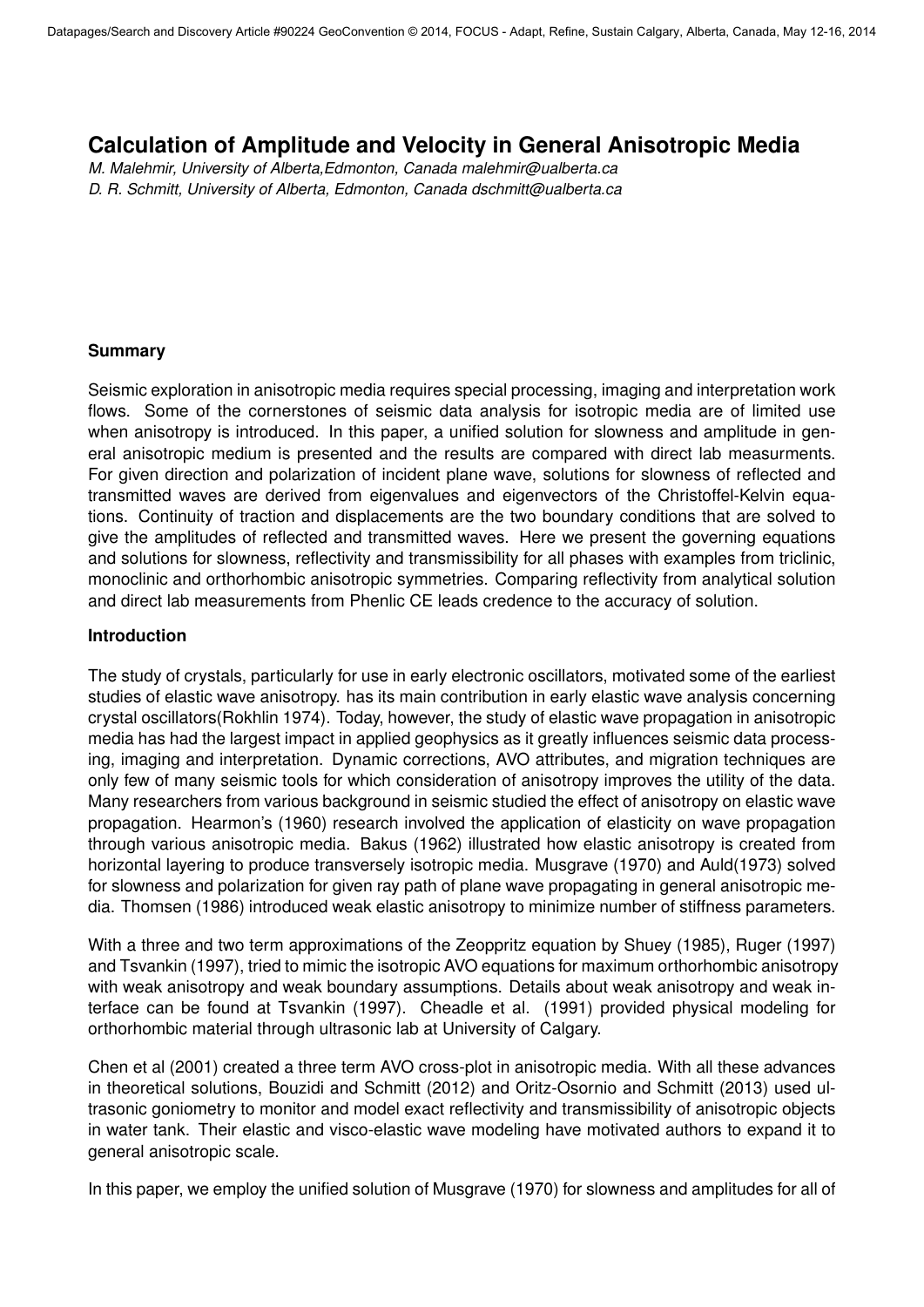# **Calculation of Amplitude and Velocity in General Anisotropic Media**

*M. Malehmir, University of Alberta,Edmonton, Canada malehmir@ualberta.ca D. R. Schmitt, University of Alberta, Edmonton, Canada dschmitt@ualberta.ca*

### **Summary**

Seismic exploration in anisotropic media requires special processing, imaging and interpretation work flows. Some of the cornerstones of seismic data analysis for isotropic media are of limited use when anisotropy is introduced. In this paper, a unified solution for slowness and amplitude in general anisotropic medium is presented and the results are compared with direct lab measurments. For given direction and polarization of incident plane wave, solutions for slowness of reflected and transmitted waves are derived from eigenvalues and eigenvectors of the Christoffel-Kelvin equations. Continuity of traction and displacements are the two boundary conditions that are solved to give the amplitudes of reflected and transmitted waves. Here we present the governing equations and solutions for slowness, reflectivity and transmissibility for all phases with examples from triclinic, monoclinic and orthorhombic anisotropic symmetries. Comparing reflectivity from analytical solution and direct lab measurements from Phenlic CE leads credence to the accuracy of solution.

### **Introduction**

The study of crystals, particularly for use in early electronic oscillators, motivated some of the earliest studies of elastic wave anisotropy. has its main contribution in early elastic wave analysis concerning crystal oscillators(Rokhlin 1974). Today, however, the study of elastic wave propagation in anisotropic media has had the largest impact in applied geophysics as it greatly influences seismic data processing, imaging and interpretation. Dynamic corrections, AVO attributes, and migration techniques are only few of many seismic tools for which consideration of anisotropy improves the utility of the data. Many researchers from various background in seismic studied the effect of anisotropy on elastic wave propagation. Hearmon's (1960) research involved the application of elasticity on wave propagation through various anisotropic media. Bakus (1962) illustrated how elastic anisotropy is created from horizontal layering to produce transversely isotropic media. Musgrave (1970) and Auld(1973) solved for slowness and polarization for given ray path of plane wave propagating in general anisotropic media. Thomsen (1986) introduced weak elastic anisotropy to minimize number of stiffness parameters.

With a three and two term approximations of the Zeoppritz equation by Shuey (1985), Ruger (1997) and Tsvankin (1997), tried to mimic the isotropic AVO equations for maximum orthorhombic anisotropy with weak anisotropy and weak boundary assumptions. Details about weak anisotropy and weak interface can be found at Tsvankin (1997). Cheadle et al. (1991) provided physical modeling for orthorhombic material through ultrasonic lab at University of Calgary.

Chen et al (2001) created a three term AVO cross-plot in anisotropic media. With all these advances in theoretical solutions, Bouzidi and Schmitt (2012) and Oritz-Osornio and Schmitt (2013) used ultrasonic goniometry to monitor and model exact reflectivity and transmissibility of anisotropic objects in water tank. Their elastic and visco-elastic wave modeling have motivated authors to expand it to general anisotropic scale.

In this paper, we employ the unified solution of Musgrave (1970) for slowness and amplitudes for all of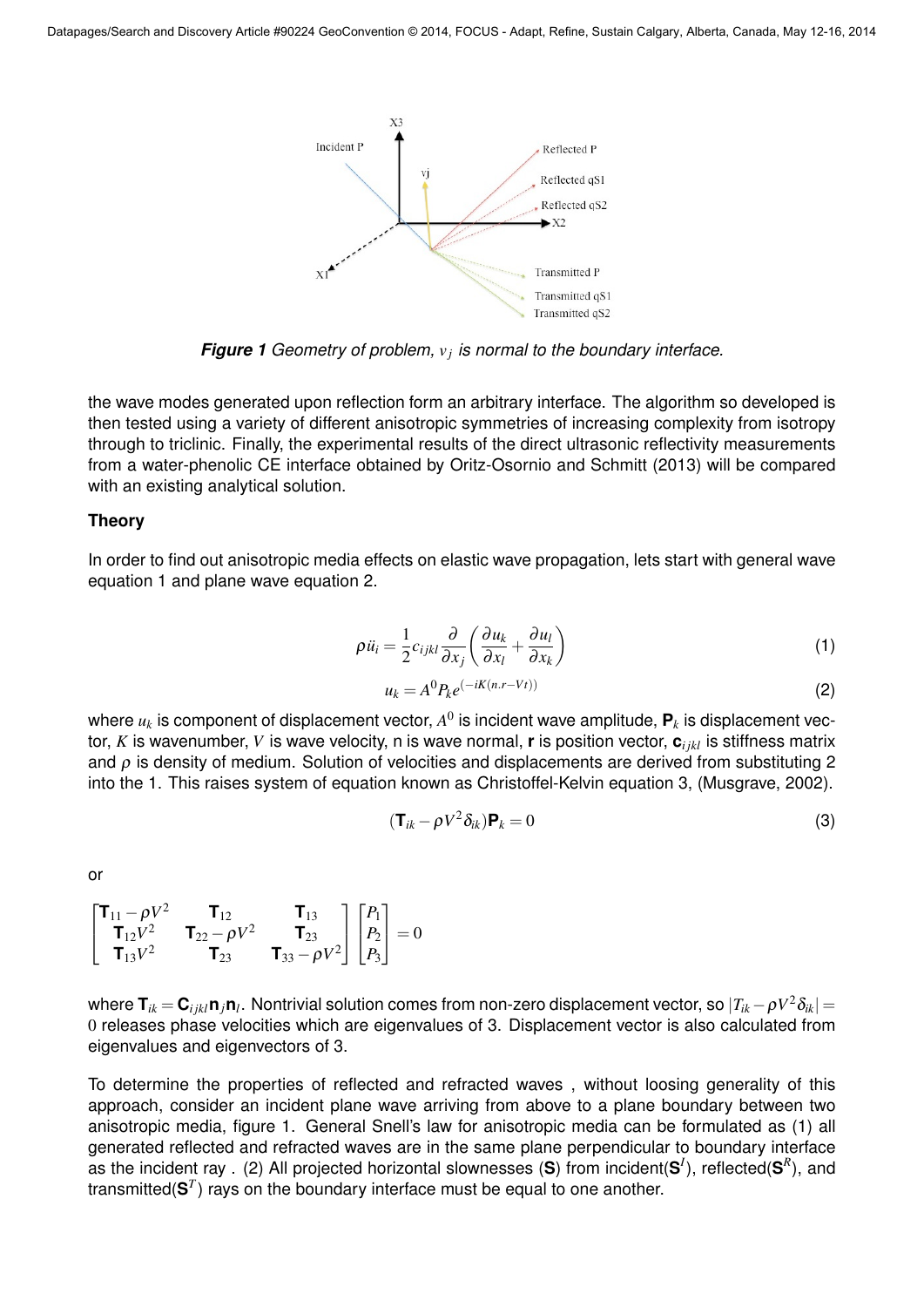

*Figure 1 Geometry of problem, v<sup>j</sup> is normal to the boundary interface.*

the wave modes generated upon reflection form an arbitrary interface. The algorithm so developed is then tested using a variety of different anisotropic symmetries of increasing complexity from isotropy through to triclinic. Finally, the experimental results of the direct ultrasonic reflectivity measurements from a water-phenolic CE interface obtained by Oritz-Osornio and Schmitt (2013) will be compared with an existing analytical solution.

### **Theory**

In order to find out anisotropic media effects on elastic wave propagation, lets start with general wave equation 1 and plane wave equation 2.

$$
\rho \ddot{u_i} = \frac{1}{2} c_{ijkl} \frac{\partial}{\partial x_j} \left( \frac{\partial u_k}{\partial x_l} + \frac{\partial u_l}{\partial x_k} \right) \tag{1}
$$

$$
u_k = A^0 P_k e^{(-iK(n.r-Vt))}
$$
\n<sup>(2)</sup>

where  $u_k$  is component of displacement vector,  $A^0$  is incident wave amplitude,  $\mathbf{P}_k$  is displacement vector, *K* is wavenumber, *V* is wave velocity, n is wave normal, **r** is position vector, **c***i jkl* is stiffness matrix and  $\rho$  is density of medium. Solution of velocities and displacements are derived from substituting 2 into the 1. This raises system of equation known as Christoffel-Kelvin equation 3, (Musgrave, 2002).

$$
(\mathbf{T}_{ik} - \rho V^2 \delta_{ik}) \mathbf{P}_k = 0 \tag{3}
$$

or

$$
\begin{bmatrix} \mathbf{T}_{11} - \rho V^2 & \mathbf{T}_{12} & \mathbf{T}_{13} \\ \mathbf{T}_{12} V^2 & \mathbf{T}_{22} - \rho V^2 & \mathbf{T}_{23} \\ \mathbf{T}_{13} V^2 & \mathbf{T}_{23} & \mathbf{T}_{33} - \rho V^2 \end{bmatrix} \begin{bmatrix} P_1 \\ P_2 \\ P_3 \end{bmatrix} = 0
$$

where  ${\bf T}_{ik} \!=\! {\bf C}_{ijkl} {\bf n}_j {\bf n}_l.$  Nontrivial solution comes from non-zero displacement vector, so  $|T_{ik}-\rho V^2 \delta_{ik}|$   $=$ 0 releases phase velocities which are eigenvalues of 3. Displacement vector is also calculated from eigenvalues and eigenvectors of 3.

To determine the properties of reflected and refracted waves , without loosing generality of this approach, consider an incident plane wave arriving from above to a plane boundary between two anisotropic media, figure 1. General Snell's law for anisotropic media can be formulated as (1) all generated reflected and refracted waves are in the same plane perpendicular to boundary interface as the incident ray . (2) All projected horizontal slownesses (**S**) from incident(**S** *I* ), reflected(**S** *R* ), and transmitted(**S** *T* ) rays on the boundary interface must be equal to one another.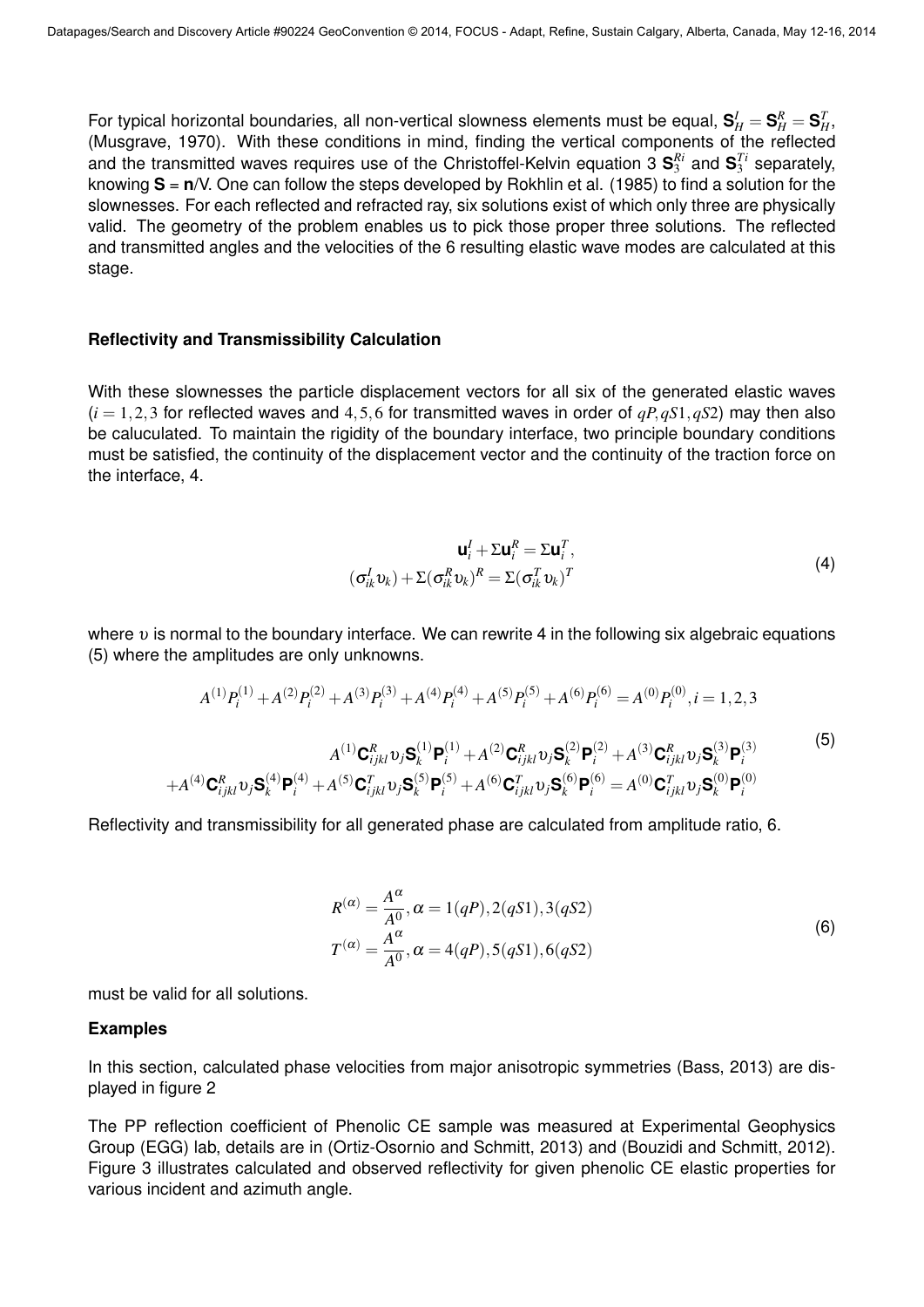For typical horizontal boundaries, all non-vertical slowness elements must be equal,  ${\bf S}_H^I={\bf S}_H^R={\bf S}_H^T,$ (Musgrave, 1970). With these conditions in mind, finding the vertical components of the reflected and the transmitted waves requires use of the Christoffel-Kelvin equation 3  ${\bf S}_3^{Ri}$  and  ${\bf S}_3^{Ti}$  separately, knowing **S** = **n**/V. One can follow the steps developed by Rokhlin et al. (1985) to find a solution for the slownesses. For each reflected and refracted ray, six solutions exist of which only three are physically valid. The geometry of the problem enables us to pick those proper three solutions. The reflected and transmitted angles and the velocities of the 6 resulting elastic wave modes are calculated at this stage.

#### **Reflectivity and Transmissibility Calculation**

With these slownesses the particle displacement vectors for all six of the generated elastic waves  $(i = 1, 2, 3$  for reflected waves and 4,5,6 for transmitted waves in order of  $qP, qS1, qS2$ ) may then also be caluculated. To maintain the rigidity of the boundary interface, two principle boundary conditions must be satisfied, the continuity of the displacement vector and the continuity of the traction force on the interface, 4.

$$
\mathbf{u}_i^I + \Sigma \mathbf{u}_i^R = \Sigma \mathbf{u}_i^T,
$$
  

$$
(\sigma_{ik}^I \mathbf{v}_k) + \Sigma (\sigma_{ik}^R \mathbf{v}_k)^R = \Sigma (\sigma_{ik}^T \mathbf{v}_k)^T
$$
 (4)

where  $v$  is normal to the boundary interface. We can rewrite 4 in the following six algebraic equations (5) where the amplitudes are only unknowns.

$$
A^{(1)}P_{i}^{(1)} + A^{(2)}P_{i}^{(2)} + A^{(3)}P_{i}^{(3)} + A^{(4)}P_{i}^{(4)} + A^{(5)}P_{i}^{(5)} + A^{(6)}P_{i}^{(6)} = A^{(0)}P_{i}^{(0)}, i = 1, 2, 3
$$
\n
$$
A^{(1)}\mathbf{C}_{ijkl}^{R}v_{j}\mathbf{S}_{k}^{(1)}\mathbf{P}_{i}^{(1)} + A^{(2)}\mathbf{C}_{ijkl}^{R}v_{j}\mathbf{S}_{k}^{(2)}\mathbf{P}_{i}^{(2)} + A^{(3)}\mathbf{C}_{ijkl}^{R}v_{j}\mathbf{S}_{k}^{(3)}\mathbf{P}_{i}^{(3)}
$$
\n
$$
+ A^{(4)}\mathbf{C}_{ijkl}^{R}v_{j}\mathbf{S}_{k}^{(4)}\mathbf{P}_{i}^{(4)} + A^{(5)}\mathbf{C}_{ijkl}^{T}v_{j}\mathbf{S}_{k}^{(5)}\mathbf{P}_{i}^{(5)} + A^{(6)}\mathbf{C}_{ijkl}^{T}v_{j}\mathbf{S}_{k}^{(6)}\mathbf{P}_{i}^{(6)} = A^{(0)}\mathbf{C}_{ijkl}^{T}v_{j}\mathbf{S}_{k}^{(0)}\mathbf{P}_{i}^{(0)}
$$
\n
$$
(5)
$$

Reflectivity and transmissibility for all generated phase are calculated from amplitude ratio, 6.

$$
R^{(\alpha)} = \frac{A^{\alpha}}{A^0}, \alpha = 1(qP), 2(qS1), 3(qS2)
$$
  
\n
$$
T^{(\alpha)} = \frac{A^{\alpha}}{A^0}, \alpha = 4(qP), 5(qS1), 6(qS2)
$$
\n(6)

must be valid for all solutions.

#### **Examples**

In this section, calculated phase velocities from major anisotropic symmetries (Bass, 2013) are displayed in figure 2

The PP reflection coefficient of Phenolic CE sample was measured at Experimental Geophysics Group (EGG) lab, details are in (Ortiz-Osornio and Schmitt, 2013) and (Bouzidi and Schmitt, 2012). Figure 3 illustrates calculated and observed reflectivity for given phenolic CE elastic properties for various incident and azimuth angle.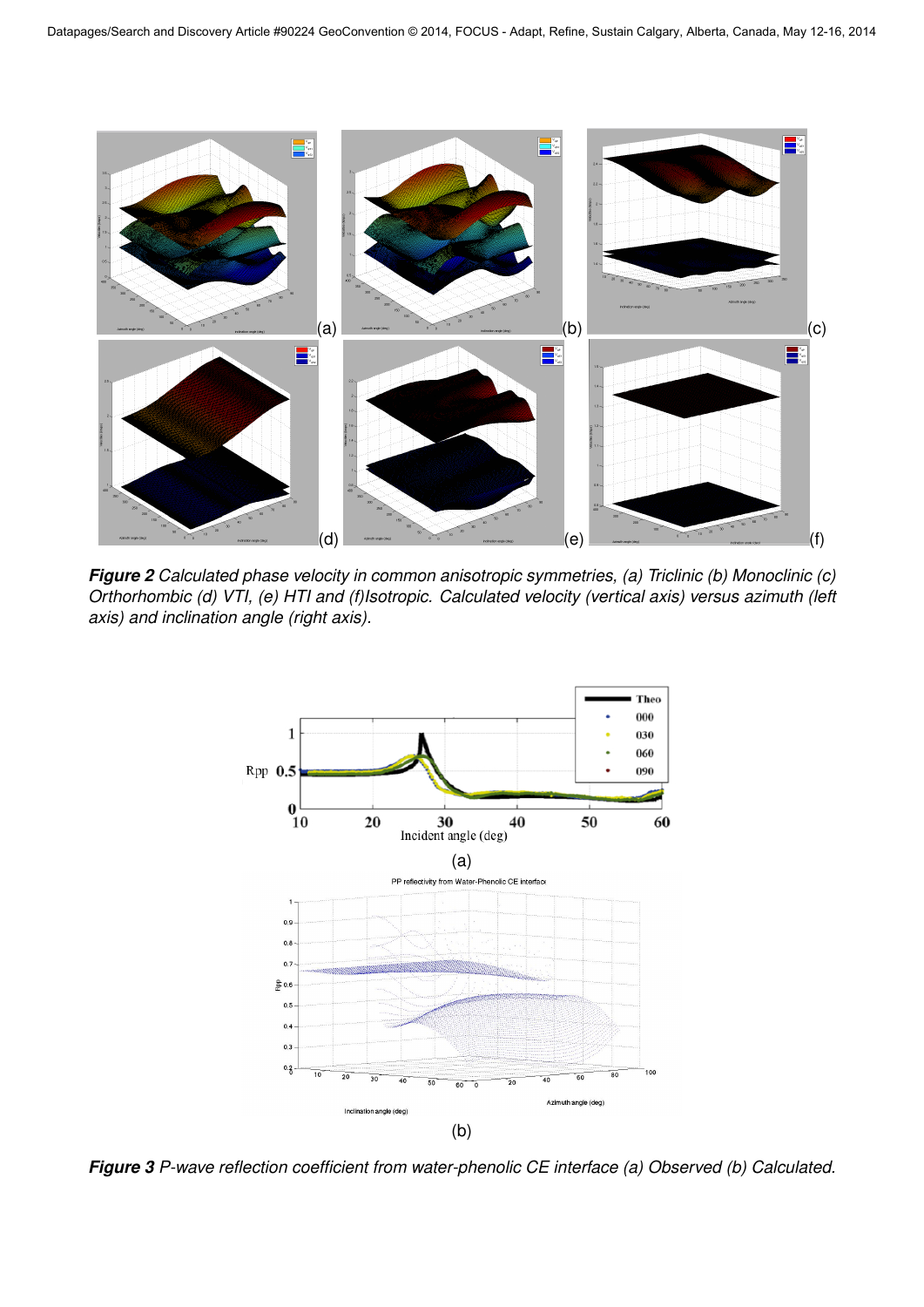

*Figure 2 Calculated phase velocity in common anisotropic symmetries, (a) Triclinic (b) Monoclinic (c) Orthorhombic (d) VTI, (e) HTI and (f)Isotropic. Calculated velocity (vertical axis) versus azimuth (left axis) and inclination angle (right axis).*



*Figure 3 P-wave reflection coefficient from water-phenolic CE interface (a) Observed (b) Calculated.*